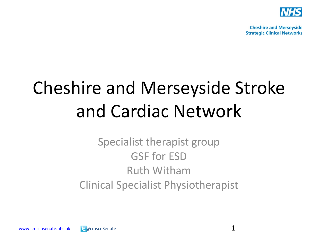

**Cheshire and Merseyside Strategic Clinical Networks** 

## Cheshire and Merseyside Stroke and Cardiac Network

Specialist therapist group GSF for ESD Ruth Witham Clinical Specialist Physiotherapist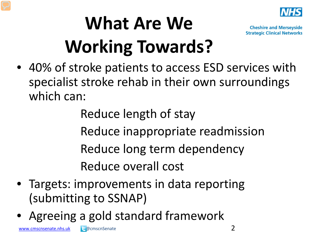

## **What Are We Working Towards?**

**Cheshire and Merseyside Strategic Clinical Networks** 

• 40% of stroke patients to access ESD services with specialist stroke rehab in their own surroundings which can:

> Reduce length of stay Reduce inappropriate readmission Reduce long term dependency Reduce overall cost

- Targets: improvements in data reporting (submitting to SSNAP)
- Agreeing a gold standard framework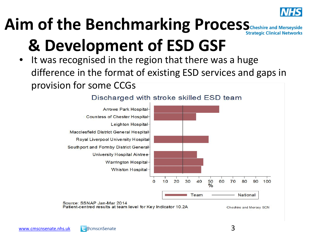

#### Aim of the Benchmarking Process<sub>Cheshire and Merseyside</sub> **& Development of ESD GSF**

It was recognised in the region that there was a huge difference in the format of existing ESD services and gaps in provision for some CCGs



#### Discharged with stroke skilled ESD team

Patient-centred results at team level for Key Indicator 10.2A

Cheshire and Mersey SCN

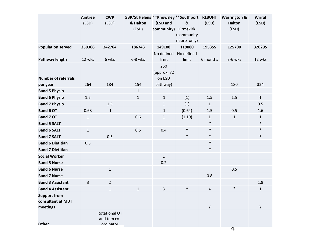|                               | Aintree<br>(ESD) | <b>CWP</b><br>(ESD)                 | 5BP/St Helens ** Knowsley ** Southport<br>& Halton<br>(ESD) | (ESD and<br>community)       | &<br><b>Ormskirk</b><br>(community<br>neuro only) | <b>RLBUHT</b><br>(ESD) | <b>Warrington &amp;</b><br><b>Halton</b><br>(ESD) | Wirral<br>(ESD) |
|-------------------------------|------------------|-------------------------------------|-------------------------------------------------------------|------------------------------|---------------------------------------------------|------------------------|---------------------------------------------------|-----------------|
| <b>Population served</b>      | 250366           | 242764                              | 186743                                                      | 149108                       | 119080                                            | 195355                 | 125700                                            | 320295          |
|                               |                  |                                     |                                                             | No defined                   | No defined                                        |                        |                                                   |                 |
| <b>Pathway length</b>         | 12 wks           | 6 wks                               | 6-8 wks                                                     | limit                        | limit                                             | 6 months               | 3-6 wks                                           | 12 wks          |
| <b>Number of referrals</b>    |                  |                                     |                                                             | 250<br>(approx. 72<br>on ESD |                                                   |                        |                                                   |                 |
| per year                      | 264              | 184                                 | 154                                                         | pathway)                     |                                                   |                        | 180                                               | 324             |
| <b>Band 5 Physio</b>          |                  |                                     | $\mathbf{1}$                                                |                              |                                                   |                        |                                                   |                 |
| <b>Band 6 Physio</b>          | $1.5\,$          |                                     | $\mathbf 1$                                                 | $\mathbf 1$                  | (1)                                               | 1.5                    | $1.5\,$                                           | $\mathbf{1}$    |
| <b>Band 7 Physio</b>          |                  | 1.5                                 |                                                             | $\mathbf{1}$                 | (1)                                               | $\mathbf{1}$           |                                                   | 0.5             |
| Band 6 OT                     | 0.68             | $\mathbf{1}$                        |                                                             | $\mathbf{1}$                 | (0.64)                                            | 1.5                    | 0.5                                               | 1.6             |
| <b>Band 7 OT</b>              | $\mathbf{1}$     |                                     | 0.6                                                         | $\mathbf{1}$                 | (1.19)                                            | $\mathbf{1}$           | $\mathbf{1}$                                      | $\mathbf{1}$    |
| <b>Band 5 SALT</b>            |                  |                                     |                                                             |                              |                                                   | $\ast$                 |                                                   | $\ast$          |
| <b>Band 6 SALT</b>            | $\mathbf{1}$     |                                     | 0.5                                                         | 0.4                          | $\ast$                                            | $\ast$                 |                                                   | $\ast$          |
| <b>Band 7 SALT</b>            |                  | 0.5                                 |                                                             |                              | $\ast$                                            | $\ast$                 |                                                   | $\ast$          |
| <b>Band 6 Dietitian</b>       | 0.5              |                                     |                                                             |                              |                                                   | $\ast$                 |                                                   |                 |
| <b>Band 7 Dietitian</b>       |                  |                                     |                                                             |                              |                                                   | $\ast$                 |                                                   |                 |
| <b>Social Worker</b>          |                  |                                     |                                                             | $\mathbf{1}$                 |                                                   |                        |                                                   |                 |
| <b>Band 5 Nurse</b>           |                  |                                     |                                                             | 0.2                          |                                                   |                        |                                                   |                 |
| <b>Band 6 Nurse</b>           |                  | $\mathbf{1}$                        |                                                             |                              |                                                   |                        | 0.5                                               |                 |
| <b>Band 7 Nurse</b>           |                  |                                     |                                                             |                              |                                                   | 0.8                    |                                                   |                 |
| <b>Band 3 Assistant</b>       | 3                | $\overline{2}$                      |                                                             |                              |                                                   |                        |                                                   | 1.8             |
| <b>Band 4 Assistant</b>       |                  | $\mathbf{1}$                        | $\mathbf{1}$                                                | 3                            | $\ast$                                            | $\overline{4}$         | $\ast$                                            | $\mathbf{1}$    |
| <b>Support from</b>           |                  |                                     |                                                             |                              |                                                   |                        |                                                   |                 |
| consultant at MDT<br>meetings |                  |                                     |                                                             |                              |                                                   | Υ                      |                                                   | Υ               |
| <b>Other</b>                  |                  | <b>Rotational OT</b><br>and tem co- |                                                             |                              |                                                   |                        |                                                   |                 |
|                               |                  | ordinator                           |                                                             |                              |                                                   |                        | 4                                                 |                 |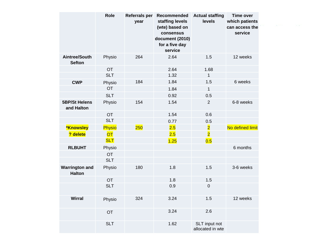|                                        | Role       | <b>Referrals per</b><br>year | Recommended<br>staffing levels<br>(wte) based on<br>consensus<br>document (2010)<br>for a five day<br>service | <b>Actual staffing</b><br>levels  | <b>Time over</b><br>which patients<br>can access the<br>service |
|----------------------------------------|------------|------------------------------|---------------------------------------------------------------------------------------------------------------|-----------------------------------|-----------------------------------------------------------------|
| Aintree/South<br><b>Sefton</b>         | Physio     | 264                          | 2.64                                                                                                          | 1.5                               | 12 weeks                                                        |
|                                        | <b>OT</b>  |                              | 2.64                                                                                                          | 1.68                              |                                                                 |
|                                        | <b>SLT</b> |                              | 1.32                                                                                                          | $\mathbf{1}$                      |                                                                 |
| <b>CWP</b>                             | Physio     | 184                          | 1.84                                                                                                          | 1.5                               | 6 weeks                                                         |
|                                        | <b>OT</b>  |                              | 1.84                                                                                                          | $\mathbf{1}$                      |                                                                 |
|                                        | <b>SLT</b> |                              | 0.92                                                                                                          | 0.5                               |                                                                 |
| <b>5BP/St Helens</b><br>and Halton     | Physio     | 154                          | 1.54                                                                                                          | 2                                 | 6-8 weeks                                                       |
|                                        | <b>OT</b>  |                              | 1.54                                                                                                          | 0.6                               |                                                                 |
|                                        | <b>SLT</b> |                              | 0.77                                                                                                          | 0.5                               |                                                                 |
| <b>*Knowsley</b>                       | Physio     | 250                          | 2.5                                                                                                           | $\overline{\mathbf{2}}$           | No defined limit                                                |
| ? delete                               | <b>OT</b>  |                              | 2.5                                                                                                           | $\overline{2}$                    |                                                                 |
|                                        | <b>SLT</b> |                              | 1.25                                                                                                          | 0.5                               |                                                                 |
| <b>RLBUHT</b>                          | Physio     |                              |                                                                                                               |                                   | 6 months                                                        |
|                                        | <b>OT</b>  |                              |                                                                                                               |                                   |                                                                 |
|                                        | <b>SLT</b> |                              |                                                                                                               |                                   |                                                                 |
| <b>Warrington and</b><br><b>Halton</b> | Physio     | 180                          | 1.8                                                                                                           | 1.5                               | 3-6 weeks                                                       |
|                                        | <b>OT</b>  |                              | 1.8                                                                                                           | 1.5                               |                                                                 |
|                                        | <b>SLT</b> |                              | 0.9                                                                                                           | 0                                 |                                                                 |
| <b>Wirral</b>                          | Physio     | 324                          | 3.24                                                                                                          | 1.5                               | 12 weeks                                                        |
|                                        | <b>OT</b>  |                              | 3.24                                                                                                          | 2.6                               |                                                                 |
|                                        | <b>SLT</b> |                              | 1.62                                                                                                          | SLT input not<br>allocated in wte |                                                                 |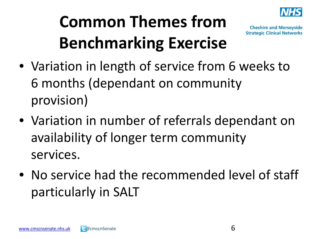

## **Common Themes from Benchmarking Exercise**

- Variation in length of service from 6 weeks to 6 months (dependant on community provision)
- Variation in number of referrals dependant on availability of longer term community services.
- No service had the recommended level of staff particularly in SALT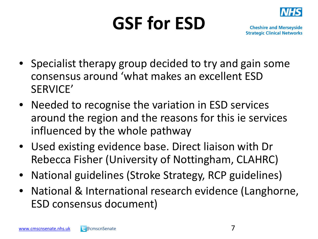# **GSF for ESD**



- Specialist therapy group decided to try and gain some consensus around 'what makes an excellent ESD SERVICE'
- Needed to recognise the variation in ESD services around the region and the reasons for this ie services influenced by the whole pathway
- Used existing evidence base. Direct liaison with Dr Rebecca Fisher (University of Nottingham, CLAHRC)
- National guidelines (Stroke Strategy, RCP guidelines)
- National & International research evidence (Langhorne, ESD consensus document)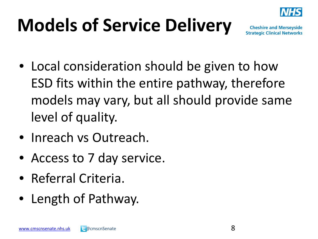

## **Models of Service Delivery**

- Local consideration should be given to how ESD fits within the entire pathway, therefore models may vary, but all should provide same level of quality.
- Inreach vs Outreach.
- Access to 7 day service.
- Referral Criteria.
- Length of Pathway.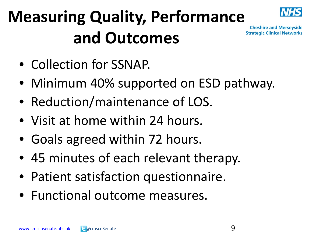## **Measuring Quality, Performance and Outcomes**



- Collection for SSNAP.
- Minimum 40% supported on ESD pathway.
- Reduction/maintenance of LOS.
- Visit at home within 24 hours.
- Goals agreed within 72 hours.
- 45 minutes of each relevant therapy.
- Patient satisfaction questionnaire.
- Functional outcome measures.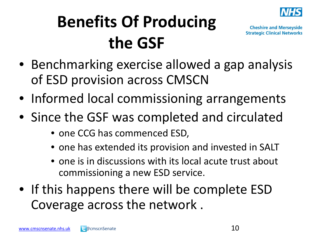

## **Benefits Of Producing the GSF**

- Benchmarking exercise allowed a gap analysis of ESD provision across CMSCN
- Informed local commissioning arrangements
- Since the GSF was completed and circulated
	- one CCG has commenced ESD,
	- one has extended its provision and invested in SALT
	- one is in discussions with its local acute trust about commissioning a new ESD service.
- If this happens there will be complete ESD Coverage across the network .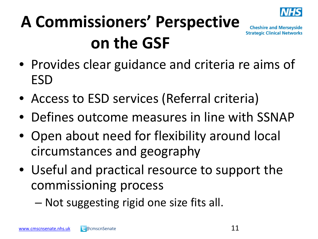

## **A Commissioners' Perspective on the GSF**

- Provides clear guidance and criteria re aims of ESD
- Access to ESD services (Referral criteria)
- Defines outcome measures in line with SSNAP
- Open about need for flexibility around local circumstances and geography
- Useful and practical resource to support the commissioning process
	- Not suggesting rigid one size fits all.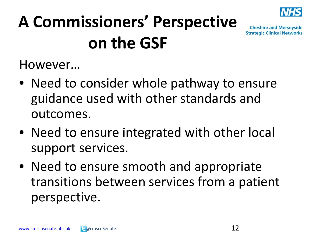

## **A Commissioners' Perspective on the GSF**

**Cheshire and Merseyside Strategic Clinical Networks** 

However…

- Need to consider whole pathway to ensure guidance used with other standards and outcomes.
- Need to ensure integrated with other local support services.
- Need to ensure smooth and appropriate transitions between services from a patient perspective.